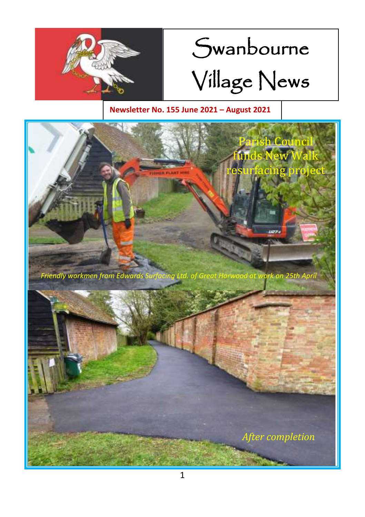

# Swanbourne Village News

#### **Newsletter No. 155 June 2021 – August 2021**

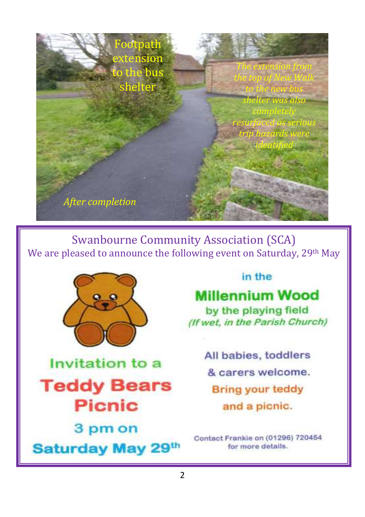

Swanbourne Community Association (SCA) We are pleased to announce the following event on Saturday, 29<sup>th</sup> May



Invitation to a **Teddy Bears Picnic** 

3 pm on Saturday May 29th

#### in the

# **Millennium Wood**

by the playing field (If wet, in the Parish Church)

> All babies, toddlers & carers welcome. **Bring your teddy** and a picnic.

Contact Frankie on (01296) 720454 for more details.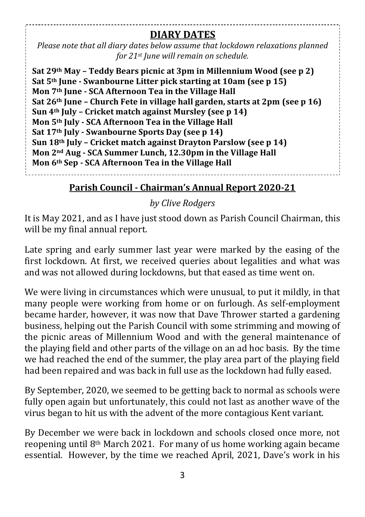#### **DIARY DATES**

*Please note that all diary dates below assume that lockdown relaxations planned for 21st June will remain on schedule.*

**Sat 29th May – Teddy Bears picnic at 3pm in Millennium Wood (see p 2) Sat 5th June - Swanbourne Litter pick starting at 10am (see p 15) Mon 7th June - SCA Afternoon Tea in the Village Hall Sat 26th June – Church Fete in village hall garden, starts at 2pm (see p 16) Sun 4th July – Cricket match against Mursley (see p 14) Mon 5th July - SCA Afternoon Tea in the Village Hall Sat 17th July - Swanbourne Sports Day (see p 14) Sun 18th July – Cricket match against Drayton Parslow (see p 14) Mon 2nd Aug - SCA Summer Lunch, 12.30pm in the Village Hall Mon 6th Sep - SCA Afternoon Tea in the Village Hall** 

#### **Parish Council - Chairman's Annual Report 2020-21**

#### *by Clive Rodgers*

It is May 2021, and as I have just stood down as Parish Council Chairman, this will be my final annual report.

Late spring and early summer last year were marked by the easing of the first lockdown. At first, we received queries about legalities and what was and was not allowed during lockdowns, but that eased as time went on.

We were living in circumstances which were unusual, to put it mildly, in that many people were working from home or on furlough. As self-employment became harder, however, it was now that Dave Thrower started a gardening business, helping out the Parish Council with some strimming and mowing of the picnic areas of Millennium Wood and with the general maintenance of the playing field and other parts of the village on an ad hoc basis. By the time we had reached the end of the summer, the play area part of the playing field had been repaired and was back in full use as the lockdown had fully eased.

By September, 2020, we seemed to be getting back to normal as schools were fully open again but unfortunately, this could not last as another wave of the virus began to hit us with the advent of the more contagious Kent variant.

By December we were back in lockdown and schools closed once more, not reopening until 8th March 2021. For many of us home working again became essential. However, by the time we reached April, 2021, Dave's work in his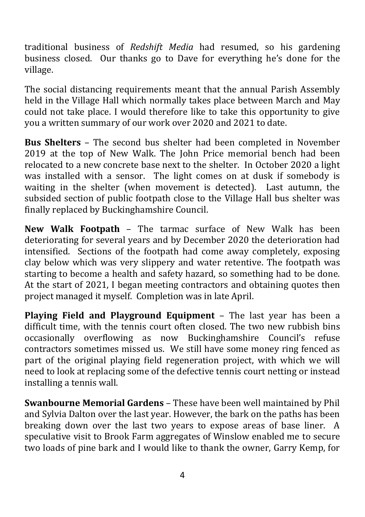traditional business of *Redshift Media* had resumed, so his gardening business closed. Our thanks go to Dave for everything he's done for the village.

The social distancing requirements meant that the annual Parish Assembly held in the Village Hall which normally takes place between March and May could not take place. I would therefore like to take this opportunity to give you a written summary of our work over 2020 and 2021 to date.

**Bus Shelters** – The second bus shelter had been completed in November 2019 at the top of New Walk. The John Price memorial bench had been relocated to a new concrete base next to the shelter. In October 2020 a light was installed with a sensor. The light comes on at dusk if somebody is waiting in the shelter (when movement is detected). Last autumn, the subsided section of public footpath close to the Village Hall bus shelter was finally replaced by Buckinghamshire Council.

**New Walk Footpath** – The tarmac surface of New Walk has been deteriorating for several years and by December 2020 the deterioration had intensified. Sections of the footpath had come away completely, exposing clay below which was very slippery and water retentive. The footpath was starting to become a health and safety hazard, so something had to be done. At the start of 2021, I began meeting contractors and obtaining quotes then project managed it myself. Completion was in late April.

**Playing Field and Playground Equipment** – The last year has been a difficult time, with the tennis court often closed. The two new rubbish bins occasionally overflowing as now Buckinghamshire Council's refuse contractors sometimes missed us. We still have some money ring fenced as part of the original playing field regeneration project, with which we will need to look at replacing some of the defective tennis court netting or instead installing a tennis wall.

**Swanbourne Memorial Gardens** – These have been well maintained by Phil and Sylvia Dalton over the last year. However, the bark on the paths has been breaking down over the last two years to expose areas of base liner. A speculative visit to Brook Farm aggregates of Winslow enabled me to secure two loads of pine bark and I would like to thank the owner, Garry Kemp, for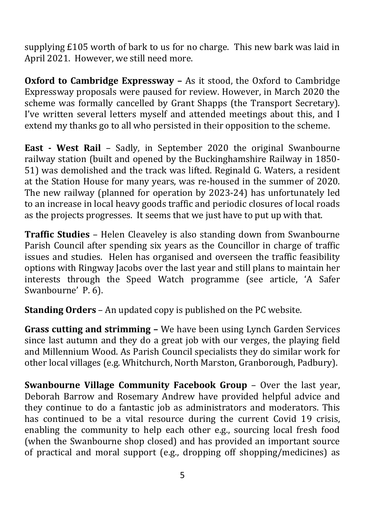supplying £105 worth of bark to us for no charge. This new bark was laid in April 2021. However, we still need more.

**Oxford to Cambridge Expressway –** As it stood, the Oxford to Cambridge Expressway proposals were paused for review. However, in March 2020 the scheme was formally cancelled by Grant Shapps (the Transport Secretary). I've written several letters myself and attended meetings about this, and I extend my thanks go to all who persisted in their opposition to the scheme.

**East - West Rail** – Sadly, in September 2020 the original Swanbourne railway station (built and opened by the Buckinghamshire Railway in 1850- 51) was demolished and the track was lifted. Reginald G. Waters, a resident at the Station House for many years, was re-housed in the summer of 2020. The new railway (planned for operation by 2023-24) has unfortunately led to an increase in local heavy goods traffic and periodic closures of local roads as the projects progresses. It seems that we just have to put up with that.

**Traffic Studies** – Helen Cleaveley is also standing down from Swanbourne Parish Council after spending six years as the Councillor in charge of traffic issues and studies. Helen has organised and overseen the traffic feasibility options with Ringway Jacobs over the last year and still plans to maintain her interests through the Speed Watch programme (see article, 'A Safer Swanbourne' P. 6).

**Standing Orders** – An updated copy is published on the PC website.

**Grass cutting and strimming –** We have been using Lynch Garden Services since last autumn and they do a great job with our verges, the playing field and Millennium Wood. As Parish Council specialists they do similar work for other local villages (e.g. Whitchurch, North Marston, Granborough, Padbury).

**Swanbourne Village Community Facebook Group** – Over the last year, Deborah Barrow and Rosemary Andrew have provided helpful advice and they continue to do a fantastic job as administrators and moderators. This has continued to be a vital resource during the current Covid 19 crisis, enabling the community to help each other e.g., sourcing local fresh food (when the Swanbourne shop closed) and has provided an important source of practical and moral support (e.g., dropping off shopping/medicines) as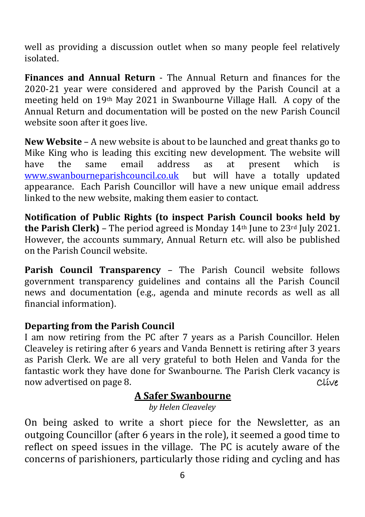well as providing a discussion outlet when so many people feel relatively isolated.

**Finances and Annual Return** - The Annual Return and finances for the 2020-21 year were considered and approved by the Parish Council at a meeting held on 19th May 2021 in Swanbourne Village Hall. A copy of the Annual Return and documentation will be posted on the new Parish Council website soon after it goes live.

**New Website** – A new website is about to be launched and great thanks go to Mike King who is leading this exciting new development. The website will have the same email address as at present which is [www.swanbourneparishcouncil.co.uk](http://www.swanbourneparishcouncil.co.uk/) but will have a totally updated appearance. Each Parish Councillor will have a new unique email address linked to the new website, making them easier to contact.

**Notification of Public Rights (to inspect Parish Council books held by**  the Parish Clerk) - The period agreed is Monday 14<sup>th</sup> June to 23<sup>rd</sup> July 2021. However, the accounts summary, Annual Return etc. will also be published on the Parish Council website.

**Parish Council Transparency** – The Parish Council website follows government transparency guidelines and contains all the Parish Council news and documentation (e.g., agenda and minute records as well as all financial information).

#### **Departing from the Parish Council**

I am now retiring from the PC after 7 years as a Parish Councillor. Helen Cleaveley is retiring after 6 years and Vanda Bennett is retiring after 3 years as Parish Clerk. We are all very grateful to both Helen and Vanda for the fantastic work they have done for Swanbourne. The Parish Clerk vacancy is now advertised on page 8. Clive

#### **A Safer Swanbourne**

*by Helen Cleaveley*

On being asked to write a short piece for the Newsletter, as an outgoing Councillor (after 6 years in the role), it seemed a good time to reflect on speed issues in the village. The PC is acutely aware of the concerns of parishioners, particularly those riding and cycling and has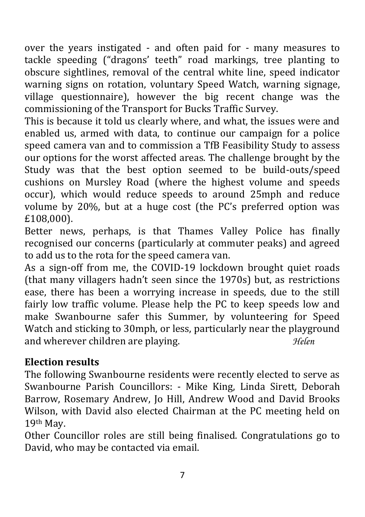over the years instigated - and often paid for - many measures to tackle speeding ("dragons' teeth" road markings, tree planting to obscure sightlines, removal of the central white line, speed indicator warning signs on rotation, voluntary Speed Watch, warning signage, village questionnaire), however the big recent change was the commissioning of the Transport for Bucks Traffic Survey.

This is because it told us clearly where, and what, the issues were and enabled us, armed with data, to continue our campaign for a police speed camera van and to commission a TfB Feasibility Study to assess our options for the worst affected areas. The challenge brought by the Study was that the best option seemed to be build-outs/speed cushions on Mursley Road (where the highest volume and speeds occur), which would reduce speeds to around 25mph and reduce volume by 20%, but at a huge cost (the PC's preferred option was £108,000).

Better news, perhaps, is that Thames Valley Police has finally recognised our concerns (particularly at commuter peaks) and agreed to add us to the rota for the speed camera van.

As a sign-off from me, the COVID-19 lockdown brought quiet roads (that many villagers hadn't seen since the 1970s) but, as restrictions ease, there has been a worrying increase in speeds, due to the still fairly low traffic volume. Please help the PC to keep speeds low and make Swanbourne safer this Summer, by volunteering for Speed Watch and sticking to 30mph, or less, particularly near the playground and wherever children are playing. *Helen*

### **Election results**

The following Swanbourne residents were recently elected to serve as Swanbourne Parish Councillors: - Mike King, Linda Sirett, Deborah Barrow, Rosemary Andrew, Jo Hill, Andrew Wood and David Brooks Wilson, with David also elected Chairman at the PC meeting held on 19th May.

Other Councillor roles are still being finalised. Congratulations go to David, who may be contacted via email.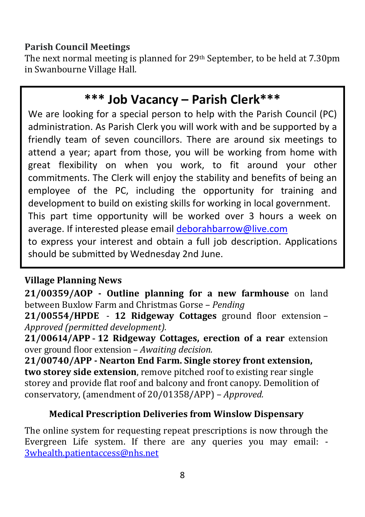#### **Parish Council Meetings**

The next normal meeting is planned for 29th September, to be held at 7.30pm in Swanbourne Village Hall.

# **\*\*\* Job Vacancy – Parish Clerk\*\*\***

We are looking for a special person to help with the Parish Council (PC) administration. As Parish Clerk you will work with and be supported by a friendly team of seven councillors. There are around six meetings to attend a year; apart from those, you will be working from home with great flexibility on when you work, to fit around your other commitments. The Clerk will enjoy the stability and benefits of being an employee of the PC, including the opportunity for training and development to build on existing skills for working in local government. This part time opportunity will be worked over 3 hours a week on average. If interested please email [deborahbarrow@live.com](mailto:deborahbarrow@live.com)

to express your interest and obtain a full job description. Applications should be submitted by Wednesday 2nd June.

#### **Village Planning News**

**21/00359/AOP - Outline planning for a new farmhouse** on land between Buxlow Farm and Christmas Gorse – *Pending*

**21/00554/HPDE** - **12 Ridgeway Cottages** ground floor extension – *Approved (permitted development).*

**21/00614/APP - 12 Ridgeway Cottages, erection of a rear** extension over ground floor extension – *Awaiting decision.*

**21/00740/APP - Nearton End Farm. Single storey front extension, two storey side extension**, remove pitched roof to existing rear single storey and provide flat roof and balcony and front canopy. Demolition of conservatory, (amendment of 20/01358/APP) – *Approved.*

#### **Medical Prescription Deliveries from Winslow Dispensary**

The online system for requesting repeat prescriptions is now through the Evergreen Life system. If there are any queries you may email: - [3whealth.patientaccess@nhs.net](mailto:3whealth.patientaccess@nhs.net)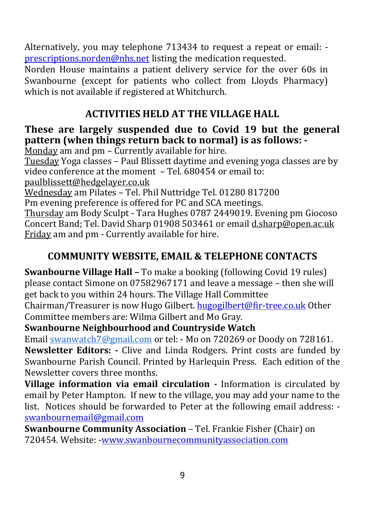Alternatively, you may telephone 713434 to request a repeat or email: [prescriptions.norden@nhs.net](mailto:prescriptions.norden@nhs.net) listing the medication requested.

Norden House maintains a patient delivery service for the over 60s in Swanbourne (except for patients who collect from Lloyds Pharmacy) which is not available if registered at Whitchurch.

#### **ACTIVITIES HELD AT THE VILLAGE HALL**

#### **These are largely suspended due to Covid 19 but the general pattern (when things return back to normal) is as follows: -**

Monday am and pm – Currently available for hire.

Tuesday Yoga classes – Paul Blissett daytime and evening yoga classes are by video conference at the moment – Tel. 680454 or email to:

[paulblissett@hedgelayer.co.uk](mailto:paulblissett@hedgelayer.co.uk)

Wednesday am Pilates – Tel. Phil Nuttridge Tel. 01280 817200

Pm evening preference is offered for PC and SCA meetings.

Thursday am Body Sculpt - Tara Hughes 0787 2449019. Evening pm Giocoso Concert Band; Tel. David Sharp 01908 503461 or emai[l d.sharp@open.ac.uk](mailto:d.sharp@open.ac.uk) Friday am and pm - Currently available for hire.

### **COMMUNITY WEBSITE, EMAIL & TELEPHONE CONTACTS**

**Swanbourne Village Hall –** To make a booking (following Covid 19 rules) please contact Simone on 07582967171 and leave a message – then she will get back to you within 24 hours. The Village Hall Committee

Chairman/Treasurer is now Hugo Gilbert[. hugogilbert@fir-tree.co.uk](mailto:hugogilbert@fir-tree.co.uk) Other Committee members are: Wilma Gilbert and Mo Gray.

#### **Swanbourne Neighbourhood and Countryside Watch**

Email [swanwatch7@gmail.com](mailto:swanwatch7@gmail.com) or tel: - Mo on 720269 or Doody on 728161. **Newsletter Editors: -** Clive and Linda Rodgers. Print costs are funded by Swanbourne Parish Council. Printed by Harlequin Press. Each edition of the Newsletter covers three months.

**Village information via email circulation** *-* Information is circulated by email by Peter Hampton. If new to the village, you may add your name to the list. Notices should be forwarded to Peter at the following email address: [swanbournemail@gmail.com](mailto:swanbournemail@gmail.com)

**Swanbourne Community Association** – Tel. Frankie Fisher (Chair) on 720454. Website: [-www.swanbournecommunityassociation.com](http://www.swanbournecommunityassociation.com/)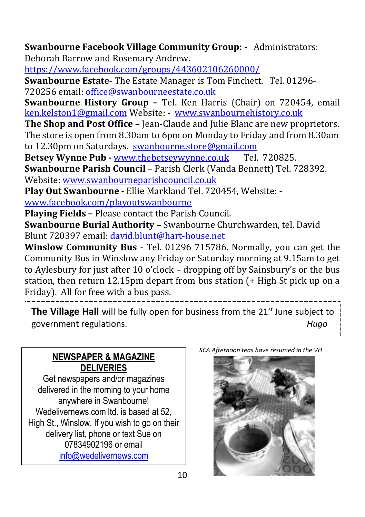**Swanbourne Facebook Village Community Group: -** Administrators: Deborah Barrow and Rosemary Andrew.

<https://www.facebook.com/groups/443602106260000/>

**Swanbourne Estate**- The Estate Manager is Tom Finchett. Tel. 01296- 720256 email[: office@swanbourneestate.co.uk](mailto:office@swanbourneestate.co.uk)

**Swanbourne History Group –** Tel. Ken Harris (Chair) on 720454, email [ken.kelston1@gmail.com](mailto:ken.kelston1@gmail.com) Website: - [www.swanbournehistory.co.uk](http://www.swanbournehistory.co.uk/)

**The Shop and Post Office –** Jean-Claude and Julie Blanc are new proprietors. The store is open from 8.30am to 6pm on Monday to Friday and from 8.30am to 12.30pm on Saturdays. [swanbourne.store@gmail.com](mailto:swanbourne.store@gmail.com)

**Betsey Wynne Pub -** [www.thebetseywynne.co.uk](http://www.thebetseywynne.co.uk/) Tel. 720825.

**Swanbourne Parish Council** – Parish Clerk (Vanda Bennett) Tel. 728392. Website: [www.swanbourneparishcouncil.co.uk](http://www.swanbourneparishcouncil.co.uk/)

**Play Out Swanbourne** - Ellie Markland Tel. 720454, Website: -

[www.facebook.com/playoutswanbourne](http://www.facebook.com/playoutswanbourne)

**Playing Fields –** Please contact the Parish Council.

**Swanbourne Burial Authority –** Swanbourne Churchwarden, tel. David Blunt 720397 email: [david.blunt@hart-house.net](mailto:david.blunt@hart-house.net)

**Winslow Community Bus** - Tel. 01296 715786. Normally, you can get the Community Bus in Winslow any Friday or Saturday morning at 9.15am to get to Aylesbury for just after 10 o'clock – dropping off by Sainsbury's or the bus station, then return 12.15pm depart from bus station (+ High St pick up on a Friday). All for free with a bus pass.

**The Village Hall** will be fully open for business from the 21<sup>st</sup> June subject to government regulations. *Hugo*

#### **NEWSPAPER & MAGAZINE DELIVERIES**

Get newspapers and/or magazines delivered in the morning to your home anywhere in Swanbourne! Wedelivernews.com ltd. is based at 52, High St., Winslow. If you wish to go on their delivery list, phone or text Sue on 07834902196 or email [info@wedelivernews.com](mailto:info@wedelivernews.com)

*SCA Afternoon teas have resumed in the VH*

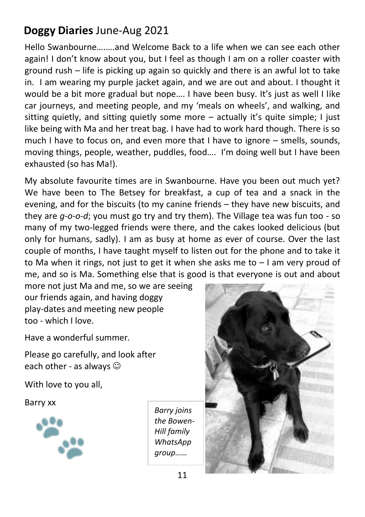# **Doggy Diaries** June-Aug 2021

Hello Swanbourne….….and Welcome Back to a life when we can see each other again! I don't know about you, but I feel as though I am on a roller coaster with ground rush – life is picking up again so quickly and there is an awful lot to take in. I am wearing my purple jacket again, and we are out and about. I thought it would be a bit more gradual but nope…. I have been busy. It's just as well I like car journeys, and meeting people, and my 'meals on wheels', and walking, and sitting quietly, and sitting quietly some more  $-$  actually it's quite simple; I just like being with Ma and her treat bag. I have had to work hard though. There is so much I have to focus on, and even more that I have to ignore – smells, sounds, moving things, people, weather, puddles, food…. I'm doing well but I have been exhausted (so has Ma!).

My absolute favourite times are in Swanbourne. Have you been out much yet? We have been to The Betsey for breakfast, a cup of tea and a snack in the evening, and for the biscuits (to my canine friends – they have new biscuits, and they are *g-o-o-d*; you must go try and try them). The Village tea was fun too - so many of my two-legged friends were there, and the cakes looked delicious (but only for humans, sadly). I am as busy at home as ever of course. Over the last couple of months, I have taught myself to listen out for the phone and to take it to Ma when it rings, not just to get it when she asks me to  $-1$  am very proud of me, and so is Ma. Something else that is good is that everyone is out and about

more not just Ma and me, so we are seeing our friends again, and having doggy play-dates and meeting new people too - which I love.

Have a wonderful summer.

Please go carefully, and look after each other - as always  $\odot$ 

With love to you all,

Barry xx



*Barry joins the Bowen-Hill family WhatsApp group……* 

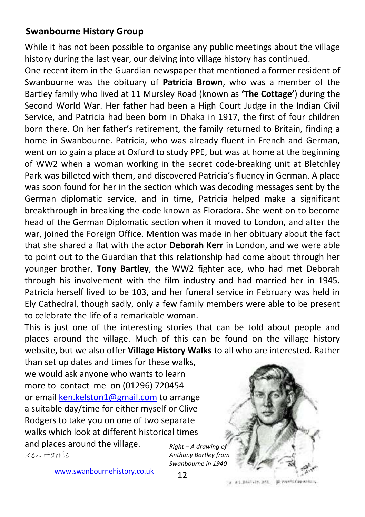#### **Swanbourne History Group**

While it has not been possible to organise any public meetings about the village history during the last year, our delving into village history has continued.

One recent item in the Guardian newspaper that mentioned a former resident of Swanbourne was the obituary of **Patricia Brown**, who was a member of the Bartley family who lived at 11 Mursley Road (known as **'The Cottage'**) during the Second World War. Her father had been a High Court Judge in the Indian Civil Service, and Patricia had been born in Dhaka in 1917, the first of four children born there. On her father's retirement, the family returned to Britain, finding a home in Swanbourne. Patricia, who was already fluent in French and German, went on to gain a place at Oxford to study PPE, but was at home at the beginning of WW2 when a woman working in the secret code-breaking unit at Bletchley Park was billeted with them, and discovered Patricia's fluency in German. A place was soon found for her in the section which was decoding messages sent by the German diplomatic service, and in time, Patricia helped make a significant breakthrough in breaking the code known as Floradora. She went on to become head of the German Diplomatic section when it moved to London, and after the war, joined the Foreign Office. Mention was made in her obituary about the fact that she shared a flat with the actor **Deborah Kerr** in London, and we were able to point out to the Guardian that this relationship had come about through her younger brother, **Tony Bartley**, the WW2 fighter ace, who had met Deborah through his involvement with the film industry and had married her in 1945. Patricia herself lived to be 103, and her funeral service in February was held in Ely Cathedral, though sadly, only a few family members were able to be present to celebrate the life of a remarkable woman.

This is just one of the interesting stories that can be told about people and places around the village. Much of this can be found on the village history website, but we also offer **Village History Walks** to all who are interested. Rather

than set up dates and times for these walks, we would ask anyone who wants to learn more to contact me on (01296) 720454 or emai[l ken.kelston1@gmail.com](mailto:ken.kelston1@gmail.com) to arrange a suitable day/time for either myself or Clive Rodgers to take you on one of two separate walks which look at different historical times and places around the village.

Ken Harris

*Right – A drawing of Anthony Bartley from Swanbourne in 1940*



[www.swanbournehistory.co.uk](http://www.swanbournehistory.co.uk/)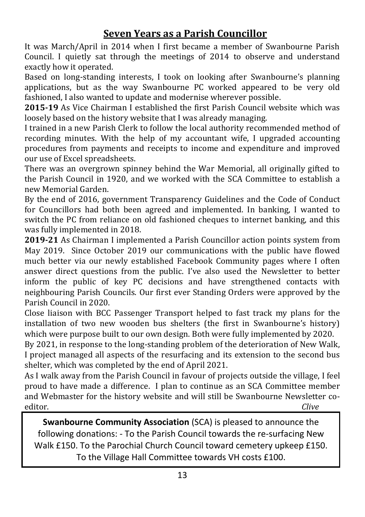#### **Seven Years as a Parish Councillor**

It was March/April in 2014 when I first became a member of Swanbourne Parish Council. I quietly sat through the meetings of 2014 to observe and understand exactly how it operated.

Based on long-standing interests, I took on looking after Swanbourne's planning applications, but as the way Swanbourne PC worked appeared to be very old fashioned, I also wanted to update and modernise wherever possible.

**2015-19** As Vice Chairman I established the first Parish Council website which was loosely based on the history website that I was already managing.

I trained in a new Parish Clerk to follow the local authority recommended method of recording minutes. With the help of my accountant wife, I upgraded accounting procedures from payments and receipts to income and expenditure and improved our use of Excel spreadsheets.

There was an overgrown spinney behind the War Memorial, all originally gifted to the Parish Council in 1920, and we worked with the SCA Committee to establish a new Memorial Garden.

By the end of 2016, government Transparency Guidelines and the Code of Conduct for Councillors had both been agreed and implemented. In banking, I wanted to switch the PC from reliance on old fashioned cheques to internet banking, and this was fully implemented in 2018.

**2019-21** As Chairman I implemented a Parish Councillor action points system from May 2019. Since October 2019 our communications with the public have flowed much better via our newly established Facebook Community pages where I often answer direct questions from the public. I've also used the Newsletter to better inform the public of key PC decisions and have strengthened contacts with neighbouring Parish Councils. Our first ever Standing Orders were approved by the Parish Council in 2020.

Close liaison with BCC Passenger Transport helped to fast track my plans for the installation of two new wooden bus shelters (the first in Swanbourne's history) which were purpose built to our own design. Both were fully implemented by 2020.

By 2021, in response to the long-standing problem of the deterioration of New Walk, I project managed all aspects of the resurfacing and its extension to the second bus shelter, which was completed by the end of April 2021.

As I walk away from the Parish Council in favour of projects outside the village, I feel proud to have made a difference. I plan to continue as an SCA Committee member and Webmaster for the history website and will still be Swanbourne Newsletter coeditor. *Clive*

**Swanbourne Community Association** (SCA) is pleased to announce the following donations: - To the Parish Council towards the re-surfacing New Walk £150. To the Parochial Church Council toward cemetery upkeep £150. To the Village Hall Committee towards VH costs £100.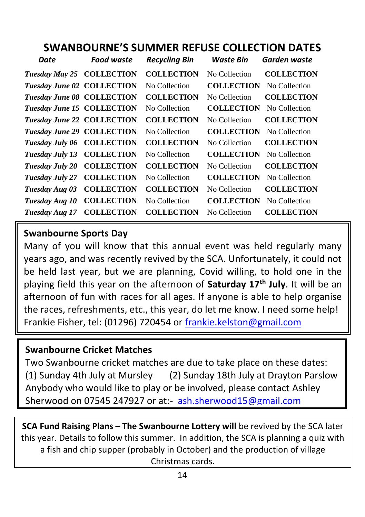# **SWANBOURNE'S SUMMER REFUSE COLLECTION DATES**

| Date                              | Food waste        | <b>Recycling Bin</b> | Waste Bin         | Garden waste      |
|-----------------------------------|-------------------|----------------------|-------------------|-------------------|
| Tuesday May 25 COLLECTION         |                   | <b>COLLECTION</b>    | No Collection     | <b>COLLECTION</b> |
| Tuesday June 02 COLLECTION        |                   | No Collection        | <b>COLLECTION</b> | No Collection     |
| <b>Tuesday June 08 COLLECTION</b> |                   | <b>COLLECTION</b>    | No Collection     | <b>COLLECTION</b> |
| <b>Tuesday June 15 COLLECTION</b> |                   | No Collection        | <b>COLLECTION</b> | No Collection     |
| Tuesday June 22 COLLECTION        |                   | <b>COLLECTION</b>    | No Collection     | <b>COLLECTION</b> |
| <b>Tuesday June 29 COLLECTION</b> |                   | No Collection        | <b>COLLECTION</b> | No Collection     |
| Tuesday July 06 COLLECTION        |                   | <b>COLLECTION</b>    | No Collection     | <b>COLLECTION</b> |
| Tuesday July 13 COLLECTION        |                   | No Collection        | <b>COLLECTION</b> | No Collection     |
| Tuesday July 20                   | <b>COLLECTION</b> | <b>COLLECTION</b>    | No Collection     | <b>COLLECTION</b> |
| Tuesday July 27                   | <b>COLLECTION</b> | No Collection        | <b>COLLECTION</b> | No Collection     |
| Tuesday Aug 03                    | <b>COLLECTION</b> | <b>COLLECTION</b>    | No Collection     | <b>COLLECTION</b> |
| Tuesday Aug 10                    | <b>COLLECTION</b> | No Collection        | <b>COLLECTION</b> | No Collection     |
| Tuesday Aug 17                    | <b>COLLECTION</b> | <b>COLLECTION</b>    | No Collection     | <b>COLLECTION</b> |

#### **Swanbourne Sports Day**

Many of you will know that this annual event was held regularly many years ago, and was recently revived by the SCA. Unfortunately, it could not be held last year, but we are planning, Covid willing, to hold one in the playing field this year on the afternoon of **Saturday 17th July**. It will be an afternoon of fun with races for all ages. If anyone is able to help organise the races, refreshments, etc., this year, do let me know. I need some help! Frankie Fisher, tel: (01296) 720454 or [frankie.kelston@gmail.com](mailto:frankie.kelston@gmail.com)

#### **Swanbourne Cricket Matches**

Two Swanbourne cricket matches are due to take place on these dates: (1) Sunday 4th July at Mursley (2) Sunday 18th July at Drayton Parslow Anybody who would like to play or be involved, please contact Ashley Sherwood on 07545 247927 or at:- [ash.sherwood15@gmail.com](mailto:ash.sherwood15@gmail.com)

**SCA Fund Raising Plans – The Swanbourne Lottery will be revived by the SCA later** this year. Details to follow this summer. In addition, the SCA is planning a quiz with a fish and chip supper (probably in October) and the production of village Christmas cards.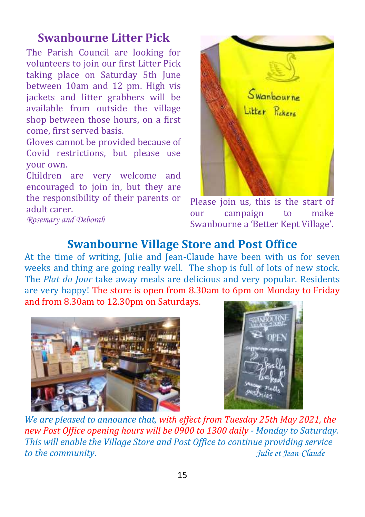# **Swanbourne Litter Pick**

The Parish Council are looking for volunteers to join our first Litter Pick taking place on Saturday 5th June between 10am and 12 pm. High vis jackets and litter grabbers will be available from outside the village shop between those hours, on a first come, first served basis.

Gloves cannot be provided because of Covid restrictions, but please use your own.

Children are very welcome and encouraged to join in, but they are the responsibility of their parents or adult carer.



Please join us, this is the start of our campaign to make Swanbourne a 'Better Kept Village'.

#### *Rosemary and Deborah*

### **Swanbourne Village Store and Post Office**

At the time of writing, Julie and Jean-Claude have been with us for seven weeks and thing are going really well. The shop is full of lots of new stock. The *Plat du Jour* take away meals are delicious and very popular. Residents are very happy! The store is open from 8.30am to 6pm on Monday to Friday and from 8.30am to 12.30pm on Saturdays.





*We are pleased to announce that, with effect from Tuesday 25th May 2021, the new Post Office opening hours will be 0900 to 1300 daily - Monday to Saturday. This will enable the Village Store and Post Office to continue providing service to the community. Julie et Jean-Claude*